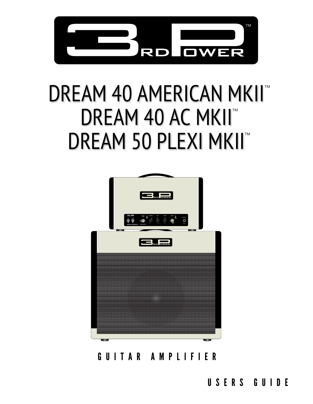

# DREAM 40 AMERICAN MKII™ DREAM 40 AC MKII™ DREAM 50 PLEXI MKII™



GUITAR AMPLIFIER

USERS GUIDE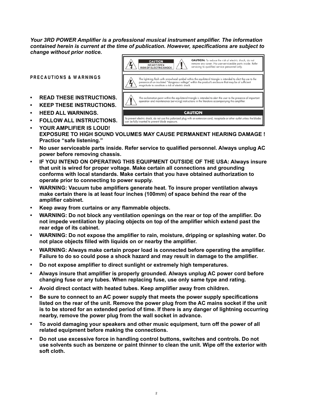*Your 3RD POWER Amplifier is a professional musical instrument amplifier. The information contained herein is current at the time of publication. However, specifications are subject to change without prior notice.*

**PRECAUTIONS & WARNINGS**

- **• READ THESE INSTRUCTIONS.**
- **• KEEP THESE INSTRUCTIONS.**
- **• HEED ALL WARNINGS.**
- **• FOLLOW ALL INSTRUCTIONS.**
- **CAUTION** To prevent electric shock, do not use this polarized plug with an extension cord, receptacle or other outlet unless the blade<br>can be fully inserted to prevent blade exposure. **• YOUR AMPLIFIER IS LOUD!**
- **EXPOSURE TO HIGH SOUND VOLUMES MAY CAUSE PERMANENT HEARING DAMAGE ! Practice "safe listening."**
- **• No user serviceable parts inside. Refer service to qualified personnel. Always unplug AC power before removing chassis.**
- **• IF YOU INTEND ON OPERATING THIS EQUIPMENT OUTSIDE OF THE USA: Always insure that unit is wired for proper voltage. Make certain all connections and grounding conforms with local standards. Make certain that you have obtained authorization to operate prior to connecting to power supply.**
- **• WARNING: Vacuum tube amplifiers generate heat. To insure proper ventilation always make certain there is at least four inches (100mm) of space behind the rear of the amplifier cabinet.**
- **• Keep away from curtains or any flammable objects.**
- **• WARNING: Do not block any ventilation openings on the rear or top of the amplifier. Do not impede ventilation by placing objects on top of the amplifier which extend past the rear edge of its cabinet.**
- **• WARNING: Do not expose the amplifier to rain, moisture, dripping or splashing water. Do not place objects filled with liquids on or nearby the amplifier.**
- **• WARNING: Always make certain proper load is connected before operating the amplifier. Failure to do so could pose a shock hazard and may result in damage to the amplifier.**
- **• Do not expose amplifier to direct sunlight or extremely high temperatures.**
- **• Always insure that amplifier is properly grounded. Always unplug AC power cord before changing fuse or any tubes. When replacing fuse, use only same type and rating.**
- **• Avoid direct contact with heated tubes. Keep amplifier away from children.**
- **• Be sure to connect to an AC power supply that meets the power supply specifications listed on the rear of the unit. Remove the power plug from the AC mains socket if the unit is to be stored for an extended period of time. If there is any danger of lightning occurring nearby, remove the power plug from the wall socket in advance.**
- **• To avoid damaging your speakers and other music equipment, turn off the power of all related equipment before making the connections.**
- **• Do not use excessive force in handling control buttons, switches and controls. Do not use solvents such as benzene or paint thinner to clean the unit. Wipe off the exterior with soft cloth.**

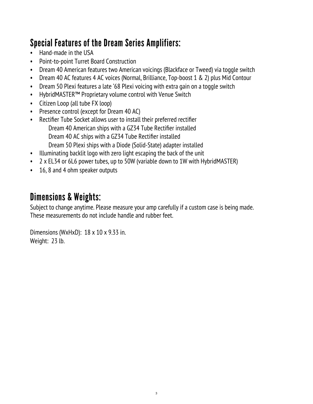## Special Features of the Dream Series Amplifiers:

- Hand-made in the USA
- Point-to-point Turret Board Construction
- Dream 40 American features two American voicings (Blackface or Tweed) via toggle switch
- Dream 40 AC features 4 AC voices (Normal, Brilliance, Top-boost 1 & 2) plus Mid Contour
- Dream 50 Plexi features a late '68 Plexi voicing with extra gain on a toggle switch
- HybridMASTER™ Proprietary volume control with Venue Switch
- Citizen Loop (all tube FX loop)
- Presence control (except for Dream 40 AC)
- Rectifier Tube Socket allows user to install their preferred rectifier Dream 40 American ships with a GZ34 Tube Rectifier installed Dream 40 AC ships with a GZ34 Tube Rectifier installed Dream 50 Plexi ships with a Diode (Solid-State) adapter installed
- Illuminating backlit logo with zero light escaping the back of the unit
- 2 x EL34 or 6L6 power tubes, up to 50W (variable down to 1W with HybridMASTER)
- 16, 8 and 4 ohm speaker outputs

#### Dimensions & Weights:

Subject to change anytime. Please measure your amp carefully if a custom case is being made. These measurements do not include handle and rubber feet.

Dimensions (WxHxD): 18 x 10 x 9.33 in. Weight: 23 lb.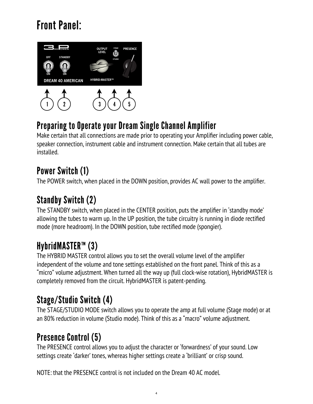# Front Panel:



#### Preparing to Operate your Dream Single Channel Amplifier

Make certain that all connections are made prior to operating your Amplifier including power cable, speaker connection, instrument cable and instrument connection. Make certain that all tubes are installed.

#### Power Switch (1)

The POWER switch, when placed in the DOWN position, provides AC wall power to the amplifier.

## Standby Switch (2)

The STANDBY switch, when placed in the CENTER position, puts the amplifier in 'standby mode' allowing the tubes to warm up. In the UP position, the tube circuitry is running in diode rectified mode (more headroom). In the DOWN position, tube rectified mode (spongier).

# HybridMASTER™ (3)

The HYBRID MASTER control allows you to set the overall volume level of the amplifier independent of the volume and tone settings established on the front panel. Think of this as a "micro" volume adjustment. When turned all the way up (full clock-wise rotation), HybridMASTER is completely removed from the circuit. HybridMASTER is patent-pending.

## Stage/Studio Switch (4)

The STAGE/STUDIO MODE switch allows you to operate the amp at full volume (Stage mode) or at an 80% reduction in volume (Studio mode). Think of this as a "macro" volume adjustment.

#### Presence Control (5)

The PRESENCE control allows you to adjust the character or 'forwardness' of your sound. Low settings create 'darker' tones, whereas higher settings create a 'brilliant' or crisp sound.

NOTE: that the PRESENCE control is not included on the Dream 40 AC model.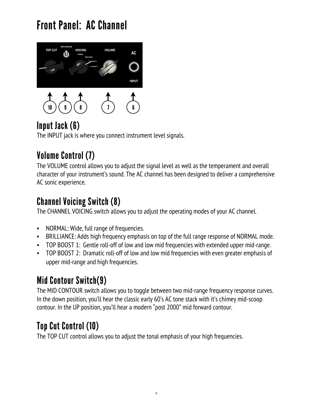# Front Panel: AC Channel



## Input Jack (6)

The INPUT jack is where you connect instrument level signals.

## Volume Control (7)

The VOLUME control allows you to adjust the signal level as well as the temperament and overall character of your instrument's sound. The AC channel has been designed to deliver a comprehensive AC sonic experience.

#### Channel Voicing Switch (8)

The CHANNEL VOICING switch allows you to adjust the operating modes of your AC channel.

- NORMAL: Wide, full range of frequencies.
- BRILLIANCE: Adds high frequency emphasis on top of the full range response of NORMAL mode.
- TOP BOOST 1: Gentle roll-off of low and low mid frequencies with extended upper mid-range.
- TOP BOOST 2: Dramatic roll-off of low and low mid frequencies with even greater emphasis of upper mid-range and high frequencies.

## Mid Contour Switch(9)

The MID CONTOUR switch allows you to toggle between two mid-range frequency response curves. In the down position, you'll hear the classic early 60's AC tone stack with it's chimey mid-scoop contour. In the UP position, you'll hear a modern "post 2000" mid forward contour.

## Top Cut Control (10)

The TOP CUT control allows you to adjust the tonal emphasis of your high frequencies.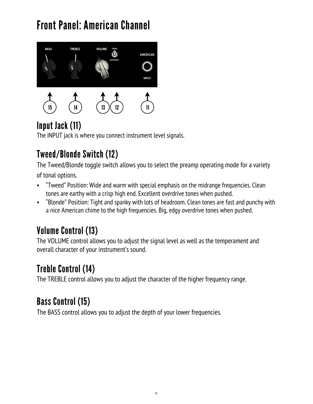# Front Panel: American Channel



## Input Jack (11)

The INPUT jack is where you connect instrument level signals.

## Tweed/Blonde Switch (12)

The Tweed/Blonde toggle switch allows you to select the preamp operating mode for a variety of tonal options.

- "Tweed" Position: Wide and warm with special emphasis on the midrange frequencies. Clean tones are earthy with a crisp high end. Excellent overdrive tones when pushed.
- "Blonde" Position: Tight and spanky with lots of headroom. Clean tones are fast and punchy with a nice American chime to the high frequencies. Big, edgy overdrive tones when pushed.

# Volume Control (13)

The VOLUME control allows you to adjust the signal level as well as the temperament and overall character of your instrument's sound.

## Treble Control (14)

The TREBLE control allows you to adjust the character of the higher frequency range.

#### Bass Control (15)

The BASS control allows you to adjust the depth of your lower frequencies.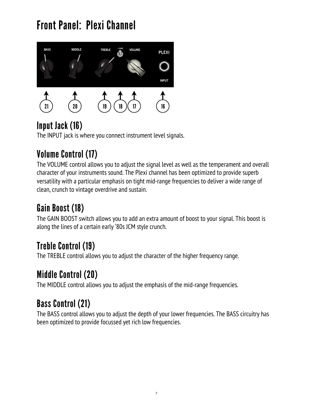# Front Panel: Plexi Channel



## Input Jack (16)

The INPUT jack is where you connect instrument level signals.

# Volume Control (17)

The VOLUME control allows you to adjust the signal level as well as the temperament and overall character of your instruments sound. The Plexi channel has been optimized to provide superb versatility with a particular emphasis on tight mid-range frequencies to deliver a wide range of clean, crunch to vintage overdrive and sustain.

## Gain Boost (18)

The GAIN BOOST switch allows you to add an extra amount of boost to your signal. This boost is along the lines of a certain early '80s JCM style crunch.

## Treble Control (19)

The TREBLE control allows you to adjust the character of the higher frequency range.

## Middle Control (20)

The MIDDLE control allows you to adjust the emphasis of the mid-range frequencies.

# Bass Control (21)

The BASS control allows you to adjust the depth of your lower frequencies. The BASS circuitry has been optimized to provide focussed yet rich low frequencies.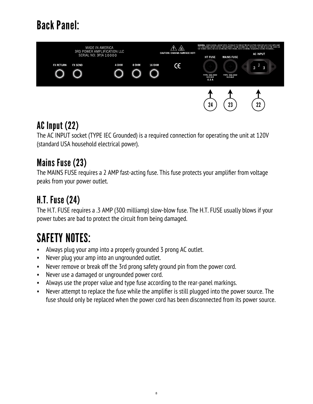# Back Panel:



#### AC Input (22)

The AC INPUT socket (TYPE IEC Grounded) is a required connection for operating the unit at 120V (standard USA household electrical power).

#### Mains Fuse (23)

The MAINS FUSE requires a 2 AMP fast-acting fuse. This fuse protects your amplifier from voltage peaks from your power outlet.

#### H.T. Fuse (24)

The H.T. FUSE requires a .3 AMP (300 milliamp) slow-blow fuse. The H.T. FUSE usually blows if your power tubes are bad to protect the circuit from being damaged.

# SAFETY NOTES:

- Always plug your amp into a properly grounded 3 prong AC outlet.
- Never plug your amp into an ungrounded outlet.
- Never remove or break off the 3rd prong safety ground pin from the power cord.
- Never use a damaged or ungrounded power cord.
- Always use the proper value and type fuse according to the rear-panel markings.
- Never attempt to replace the fuse while the amplifier is still plugged into the power source. The fuse should only be replaced when the power cord has been disconnected from its power source.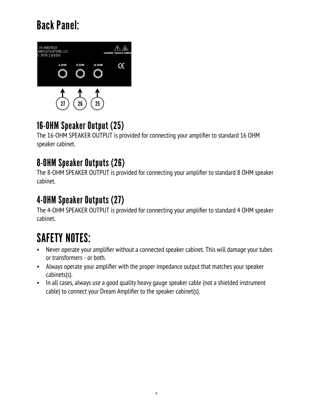# Back Panel:



#### 16-OHM Speaker Output (25)

The 16-OHM SPEAKER OUTPUT is provided for connecting your amplifier to standard 16 OHM speaker cabinet.

#### 8-OHM Speaker Outputs (26)

The 8-OHM SPEAKER OUTPUT is provided for connecting your amplifier to standard 8 OHM speaker cabinet.

#### 4-OHM Speaker Outputs (27)

The 4-OHM SPEAKER OUTPUT is provided for connecting your amplifier to standard 4 OHM speaker cabinet.

# SAFETY NOTES:

- Never operate your amplifier without a connected speaker cabinet. This will damage your tubes or transformers - or both.
- Always operate your amplifier with the proper impedance output that matches your speaker cabinets(s).
- In all cases, always use a good quality heavy gauge speaker cable (not a shielded instrument cable) to connect your Dream Amplifier to the speaker cabinet(s).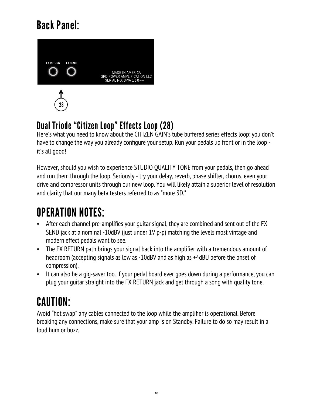# Back Panel:



#### Dual Triode "Citizen Loop" Effects Loop (28)

Here's what you need to know about the CITIZEN GAIN's tube buffered series effects loop: you don't have to change the way you already configure your setup. Run your pedals up front or in the loop it's all good!

However, should you wish to experience STUDIO QUALITY TONE from your pedals, then go ahead and run them through the loop. Seriously - try your delay, reverb, phase shifter, chorus, even your drive and compressor units through our new loop. You will likely attain a superior level of resolution and clarity that our many beta testers referred to as "more 3D."

# OPERATION NOTES:

- After each channel pre-amplifies your guitar signal, they are combined and sent out of the FX SEND jack at a nominal -10dBV (just under 1V p-p) matching the levels most vintage and modern effect pedals want to see.
- The FX RETURN path brings your signal back into the amplifier with a tremendous amount of headroom (accepting signals as low as -10dBV and as high as +4dBU before the onset of compression).
- It can also be a gig-saver too. If your pedal board ever goes down during a performance, you can plug your guitar straight into the FX RETURN jack and get through a song with quality tone.

# CAUTION:

Avoid "hot swap" any cables connected to the loop while the amplifier is operational. Before breaking any connections, make sure that your amp is on Standby. Failure to do so may result in a loud hum or buzz.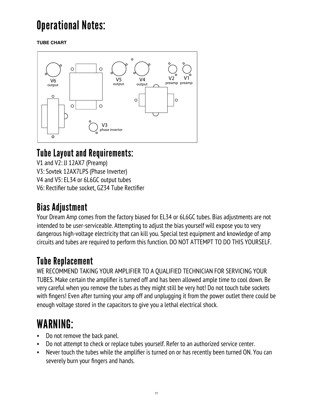# Operational Notes:

**TUBE CHART**



#### Tube Layout and Requirements:

V1 and V2: JJ 12AX7 (Preamp) V3: Sovtek 12AX7LPS (Phase Inverter) V4 and V5: EL34 or 6L6GC output tubes V6: Rectifier tube socket, GZ34 Tube Rectifier

## Bias Adjustment

Your Dream Amp comes from the factory biased for EL34 or 6L6GC tubes. Bias adjustments are not intended to be user-serviceable. Attempting to adjust the bias yourself will expose you to very dangerous high-voltage electricity that can kill you. Special test equipment and knowledge of amp circuits and tubes are required to perform this function. DO NOT ATTEMPT TO DO THIS YOURSELF.

#### Tube Replacement

WE RECOMMEND TAKING YOUR AMPLIFIER TO A QUALIFIED TECHNICIAN FOR SERVICING YOUR TUBES. Make certain the amplifier is turned off and has been allowed ample time to cool down. Be very careful when you remove the tubes as they might still be very hot! Do not touch tube sockets with fingers! Even after turning your amp off and unplugging it from the power outlet there could be enough voltage stored in the capacitors to give you a lethal electrical shock.

# WARNING:

- Do not remove the back panel.
- Do not attempt to check or replace tubes yourself. Refer to an authorized service center.
- Never touch the tubes while the amplifier is turned on or has recently been turned ON. You can severely burn your fingers and hands.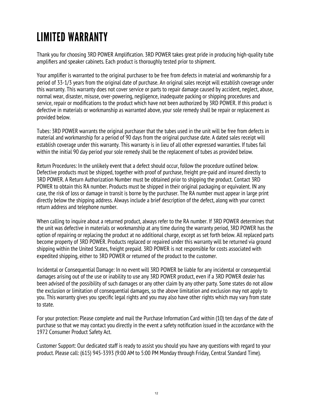# LIMITED WARRANTY

Thank you for choosing 3RD POWER Amplification. 3RD POWER takes great pride in producing high-quality tube amplifiers and speaker cabinets. Each product is thoroughly tested prior to shipment.

Your amplifier is warranted to the original purchaser to be free from defects in material and workmanship for a period of 33-1/3 years from the original date of purchase. An original sales receipt will establish coverage under this warranty. This warranty does not cover service or parts to repair damage caused by accident, neglect, abuse, normal wear, disaster, misuse, over-powering, negligence, inadequate packing or shipping procedures and service, repair or modifications to the product which have not been authorized by 3RD POWER. If this product is defective in materials or workmanship as warranted above, your sole remedy shall be repair or replacement as provided below.

Tubes: 3RD POWER warrants the original purchaser that the tubes used in the unit will be free from defects in material and workmanship for a period of 90 days from the original purchase date. A dated sales receipt will establish coverage under this warranty. This warranty is in lieu of all other expressed warranties. If tubes fail within the initial 90 day period your sole remedy shall be the replacement of tubes as provided below.

Return Procedures: In the unlikely event that a defect should occur, follow the procedure outlined below. Defective products must be shipped, together with proof of purchase, freight pre-paid and insured directly to 3RD POWER. A Return Authorization Number must be obtained prior to shipping the product. Contact 3RD POWER to obtain this RA number. Products must be shipped in their original packaging or equivalent. IN any case, the risk of loss or damage in transit is borne by the purchaser. The RA number must appear in large print directly below the shipping address. Always include a brief description of the defect, along with your correct return address and telephone number.

When calling to inquire about a returned product, always refer to the RA number. If 3RD POWER determines that the unit was defective in materials or workmanship at any time during the warranty period, 3RD POWER has the option of repairing or replacing the product at no additional charge, except as set forth below. All replaced parts become property of 3RD POWER. Products replaced or repaired under this warranty will be returned via ground shipping within the United States, freight prepaid. 3RD POWER is not responsible for costs associated with expedited shipping, either to 3RD POWER or returned of the product to the customer.

Incidental or Consequential Damage: In no event will 3RD POWER be liable for any incidental or consequential damages arising out of the use or inability to use any 3RD POWER product, even if a 3RD POWER dealer has been advised of the possibility of such damages or any other claim by any other party. Some states do not allow the exclusion or limitation of consequential damages, so the above limitation and exclusion may not apply to you. This warranty gives you specific legal rights and you may also have other rights which may vary from state to state.

For your protection: Please complete and mail the Purchase Information Card within (10) ten days of the date of purchase so that we may contact you directly in the event a safety notification issued in the accordance with the 1972 Consumer Product Safety Act.

Customer Support: Our dedicated staff is ready to assist you should you have any questions with regard to your product. Please call: (615) 945-3393 (9:00 AM to 5:00 PM Monday through Friday, Central Standard Time).